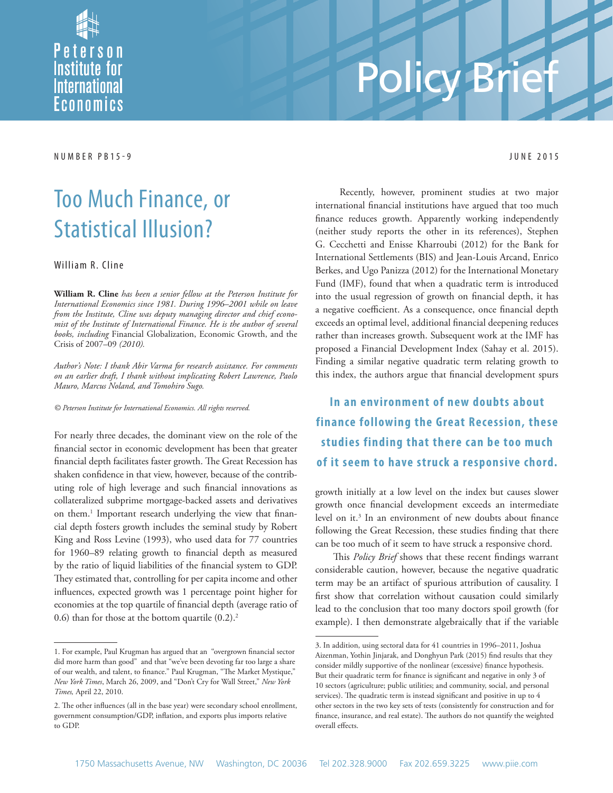

# **Policy B**

#### NUMBER PB15-9 JUNE 2015

## Too Much Finance, or Statistical Illusion?

#### William R. Cline

**William R. Cline** *has been a senior fellow at the Peterson Institute for International Economics since 1981. During 1996–2001 while on leave from the Institute, Cline was deputy managing director and chief economist of the Institute of International Finance. He is the author of several books, including* Financial Globalization, Economic Growth, and the Crisis of 2007–09 *(2010).*

*Author's Note: I thank Abir Varma for research assistance. For comments on an earlier draft, I thank without implicating Robert Lawrence, Paolo Mauro, Marcus Noland, and Tomohiro Sugo.*

*© Peterson Institute for International Economics. All rights reserved.*

For nearly three decades, the dominant view on the role of the financial sector in economic development has been that greater financial depth facilitates faster growth. The Great Recession has shaken confidence in that view, however, because of the contributing role of high leverage and such financial innovations as collateralized subprime mortgage-backed assets and derivatives on them.<sup>1</sup> Important research underlying the view that financial depth fosters growth includes the seminal study by Robert King and Ross Levine (1993), who used data for 77 countries for 1960–89 relating growth to financial depth as measured by the ratio of liquid liabilities of the financial system to GDP. They estimated that, controlling for per capita income and other influences, expected growth was 1 percentage point higher for economies at the top quartile of financial depth (average ratio of 0.6) than for those at the bottom quartile  $(0.2)$ .<sup>2</sup>

 Recently, however, prominent studies at two major international financial institutions have argued that too much finance reduces growth. Apparently working independently (neither study reports the other in its references), Stephen G. Cecchetti and Enisse Kharroubi (2012) for the Bank for International Settlements (BIS) and Jean-Louis Arcand, Enrico Berkes, and Ugo Panizza (2012) for the International Monetary Fund (IMF), found that when a quadratic term is introduced into the usual regression of growth on financial depth, it has a negative coefficient. As a consequence, once financial depth exceeds an optimal level, additional financial deepening reduces rather than increases growth. Subsequent work at the IMF has proposed a Financial Development Index (Sahay et al. 2015). Finding a similar negative quadratic term relating growth to this index, the authors argue that financial development spurs

**In an environment of new doubts about finance following the Great Recession, these studies finding that there can be too much of it seem to have struck a responsive chord.** 

growth initially at a low level on the index but causes slower growth once financial development exceeds an intermediate level on it.<sup>3</sup> In an environment of new doubts about finance following the Great Recession, these studies finding that there can be too much of it seem to have struck a responsive chord.

This *Policy Brief* shows that these recent findings warrant considerable caution, however, because the negative quadratic term may be an artifact of spurious attribution of causality. I first show that correlation without causation could similarly lead to the conclusion that too many doctors spoil growth (for example). I then demonstrate algebraically that if the variable

<sup>1.</sup> For example, Paul Krugman has argued that an "overgrown financial sector did more harm than good" and that "we've been devoting far too large a share of our wealth, and talent, to finance." Paul Krugman, "The Market Mystique," *New York Times*, March 26, 2009, and "Don't Cry for Wall Street," *New York Times,* April 22, 2010.

<sup>2.</sup> The other influences (all in the base year) were secondary school enrollment, government consumption/GDP, inflation, and exports plus imports relative to GDP.

<sup>3.</sup> In addition, using sectoral data for 41 countries in 1996–2011, Joshua Aizenman, Yothin Jinjarak, and Donghyun Park (2015) find results that they consider mildly supportive of the nonlinear (excessive) finance hypothesis. But their quadratic term for finance is significant and negative in only 3 of 10 sectors (agriculture; public utilities; and community, social, and personal services). The quadratic term is instead significant and positive in up to 4 other sectors in the two key sets of tests (consistently for construction and for finance, insurance, and real estate). The authors do not quantify the weighted overall effects.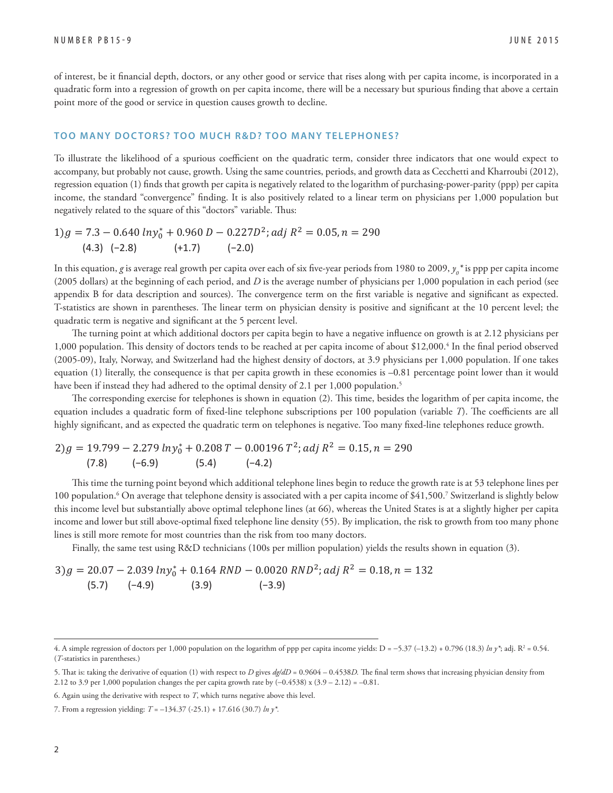of interest, be it financial depth, doctors, or any other good or service that rises along with per capita income, is incorporated in a quadratic form into a regression of growth on per capita income, there will be a necessary but spurious finding that above a certain point more of the good or service in question causes growth to decline.

#### TOO MANY DOCTORS? TOO MUCH R&D? TOO MANY TELEPHONES?

To illustrate the likelihood of a spurious coefficient on the quadratic term, consider three indicators that one would expect to accompany, but probably not cause, growth. Using the same countries, periods, and growth data as Cecchetti and Kharroubi (2012), regression equation (1) finds that growth per capita is negatively related to the logarithm of purchasing-power-parity (ppp) per capita income, the standard "convergence" finding. It is also positively related to a linear term on physicians per 1,000 population but negatively related to the square of this "doctors" variable. Thus:

$$
1)g = 7.3 - 0.640 \ln y_0^* + 0.960 D - 0.227D^2; \text{adj } R^2 = 0.05, n = 290
$$
  
(4.3) (-2.8) (+1.7) (-2.0)

In this equation, g is average real growth per capita over each of six five-year periods from 1980 to 2009,  $y_a^*$  is ppp per capita income (2005 dollars) at the beginning of each period, and  $D$  is the average number of physicians per 1,000 population in each period (see appendix B for data description and sources). The convergence term on the first variable is negative and significant as expected. T-statistics are shown in parentheses. The linear term on physician density is positive and significant at the 10 percent level; the quadratic term is negative and significant at the 5 percent level.

The turning point at which additional doctors per capita begin to have a negative influence on growth is at 2.12 physicians per 1,000 population. This density of doctors tends to be reached at per capita income of about \$12,000.<sup>4</sup> In the final period observed (2005-09), Italy, Norway, and Switzerland had the highest density of doctors, at 3.9 physicians per 1,000 population. If one takes equation  $(1)$  literally, the consequence is that per capita growth in these economies is  $-0.81$  percentage point lower than it would have been if instead they had adhered to the optimal density of 2.1 per 1,000 population.<sup>5</sup>

The corresponding exercise for telephones is shown in equation (2). This time, besides the logarithm of per capita income, the equation includes a quadratic form of fixed-line telephone subscriptions per  $100$  population (variable  $T$ ). The coefficients are all highly significant, and as expected the quadratic term on telephones is negative. Too many fixed-line telephones reduce growth.

$$
2)g = 19.799 - 2.279 \ln y_0^* + 0.208 T - 0.00196 T^2; \text{adj } R^2 = 0.15, n = 290
$$
  
(7.8) (-6.9) (5.4) (-4.2)

This time the turning point beyond which additional telephone lines begin to reduce the growth rate is at 53 telephone lines per 100 population.<sup>6</sup> On average that telephone density is associated with a per capita income of \$41,500.<sup>7</sup> Switzerland is slightly below this income level but substantially above optimal telephone lines (at 66), whereas the United States is at a slightly higher per capita income and lower but still above-optimal fixed telephone line density (55). By implication, the risk to growth from too many phone lines is still more remote for most countries than the risk from too many doctors.

Finally, the same test using R&D technicians (100s per million population) yields the results shown in equation (3).

$$
3)g = 20.07 - 2.039 \ln y_0^* + 0.164 \, RND - 0.0020 \, RND^2; \, adj \, R^2 = 0.18, n = 132
$$
\n
$$
(5.7) \qquad (-4.9) \qquad (3.9) \qquad (-3.9)
$$

<sup>4.</sup> A simple regression of doctors per 1,000 population on the logarithm of ppp per capita income yields:  $D = -5.37 (-13.2) + 0.796 (18.3)$  ln y\*; adj.  $R^2 = 0.54$ . (*T*-statistics in parentheses.)

<sup>5.</sup> That is: taking the derivative of equation (1) with respect to D gives  $\frac{dg}{dD} = 0.9604 - 0.4538D$ . The final term shows that increasing physician density from 2.12 to 3.9 per 1,000 population changes the per capita growth rate by  $(-0.4538) \times (3.9 - 2.12) = -0.81$ .

<sup>6.</sup> Again using the derivative with respect to  $T$ , which turns negative above this level.

<sup>7.</sup> From a regression yielding:  $T = -134.37 (-25.1) + 17.616 (30.7) ln y^*$ .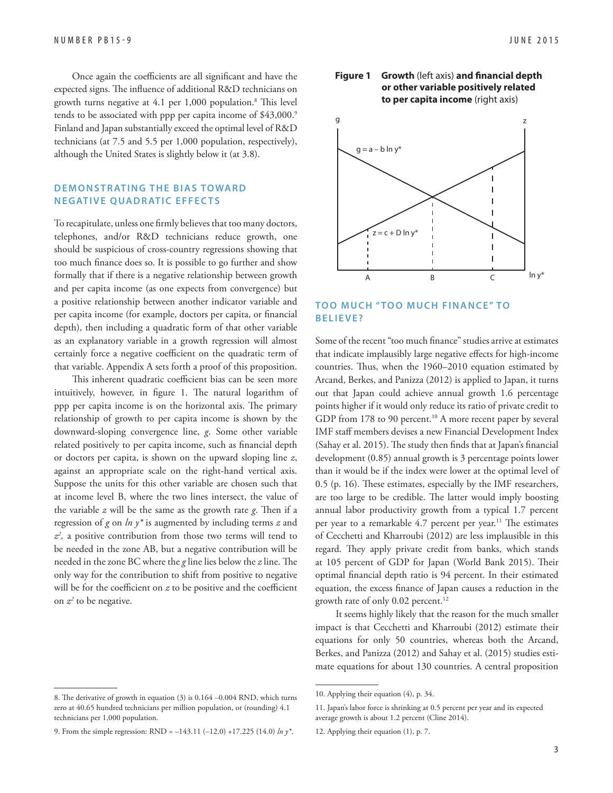Once again the coefficients are all significant and have the expected signs. The influence of additional R&D technicians on growth turns negative at 4.1 per 1,000 population.<sup>8</sup> This level tends to be associated with ppp per capita income of \$43,000.9 Finland and Japan substantially exceed the optimal level of R&D technicians (at 7.5 and 5.5 per 1,000 population, respectively), although the United States is slightly below it (at 3.8).

### **DEMONSTRATING THE BIAS TOWARD NEGATIVE QUADRATIC EFFECTS**

To recapitulate, unless one firmly believes that too many doctors, telephones, and/or R&D technicians reduce growth, one should be suspicious of cross-country regressions showing that too much finance does so. It is possible to go further and show formally that if there is a negative relationship between growth and per capita income (as one expects from convergence) but a positive relationship between another indicator variable and per capita income (for example, doctors per capita, or financial depth), then including a quadratic form of that other variable as an explanatory variable in a growth regression will almost certainly force a negative coefficient on the quadratic term of that variable. Appendix A sets forth a proof of this proposition.

This inherent quadratic coefficient bias can be seen more intuitively, however, in figure 1. The natural logarithm of ppp per capita income is on the horizontal axis. The primary relationship of growth to per capita income is shown by the downward-sloping convergence line, *g*. Some other variable related positively to per capita income, such as financial depth or doctors per capita, is shown on the upward sloping line *z*, against an appropriate scale on the right-hand vertical axis. Suppose the units for this other variable are chosen such that at income level B, where the two lines intersect, the value of the variable  $z$  will be the same as the growth rate  $q$ . Then if a regression of *g* on *ln y\** is augmented by including terms *z* and *z2 ,* a positive contribution from those two terms will tend to be needed in the zone AB, but a negative contribution will be needed in the zone BC where the  $g$  line lies below the  $z$  line. The only way for the contribution to shift from positive to negative will be for the coefficient on  $z$  to be positive and the coefficient on *z2* to be negative.





### **TOO MUCH "TOO MUCH FINANCE" TO BELIEVE?**

Some of the recent "too much finance" studies arrive at estimates that indicate implausibly large negative effects for high-income countries. Thus, when the 1960–2010 equation estimated by Arcand, Berkes, and Panizza (2012) is applied to Japan, it turns out that Japan could achieve annual growth 1.6 percentage points higher if it would only reduce its ratio of private credit to GDP from 178 to 90 percent.<sup>10</sup> A more recent paper by several IMF staff members devises a new Financial Development Index (Sahay et al. 2015). The study then finds that at Japan's financial development (0.85) annual growth is 3 percentage points lower than it would be if the index were lower at the optimal level of 0.5 (p. 16). These estimates, especially by the IMF researchers, are too large to be credible. The latter would imply boosting annual labor productivity growth from a typical 1.7 percent per year to a remarkable 4.7 percent per year.<sup>11</sup> The estimates of Cecchetti and Kharroubi (2012) are less implausible in this regard. They apply private credit from banks, which stands at 105 percent of GDP for Japan (World Bank 2015). Their optimal financial depth ratio is 94 percent. In their estimated equation, the excess finance of Japan causes a reduction in the growth rate of only 0.02 percent.<sup>12</sup>

 It seems highly likely that the reason for the much smaller impact is that Cecchetti and Kharroubi (2012) estimate their equations for only 50 countries, whereas both the Arcand, Berkes, and Panizza (2012) and Sahay et al. (2015) studies estimate equations for about 130 countries. A central proposition

<sup>8.</sup> The derivative of growth in equation (3) is  $0.164 - 0.004$  RND, which turns zero at 40.65 hundred technicians per million population, or (rounding) 4.1 technicians per 1,000 population.

<sup>9.</sup> From the simple regression: RND = –143.11 (–12.0) +17.225 (14.0) *ln y\**.

<sup>10.</sup> Applying their equation (4), p. 34.

<sup>11.</sup> Japan's labor force is shrinking at 0.5 percent per year and its expected average growth is about 1.2 percent (Cline 2014).

<sup>12.</sup> Applying their equation (1), p. 7.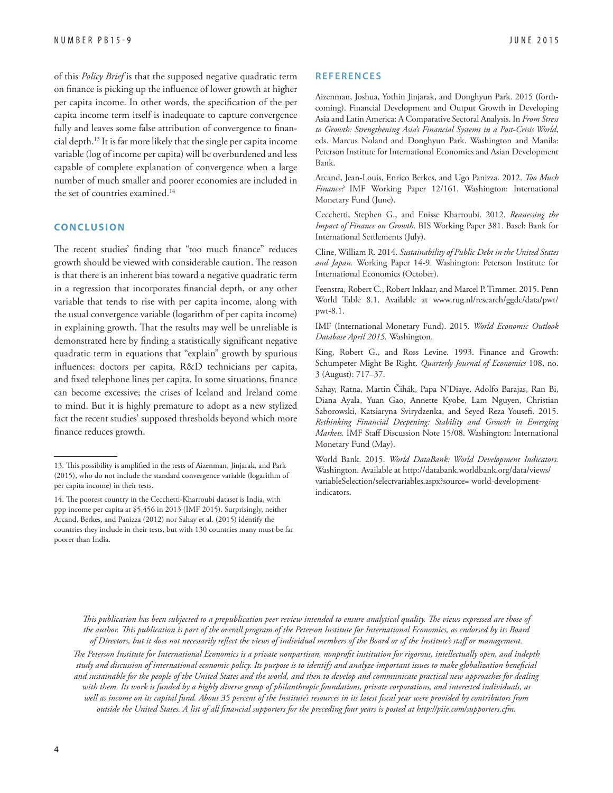of this *Policy Brief* is that the supposed negative quadratic term on finance is picking up the influence of lower growth at higher per capita income. In other words, the specification of the per capita income term itself is inadequate to capture convergence fully and leaves some false attribution of convergence to financial depth.13 It is far more likely that the single per capita income variable (log of income per capita) will be overburdened and less capable of complete explanation of convergence when a large number of much smaller and poorer economies are included in the set of countries examined.<sup>14</sup>

#### **CONCLUSION**

The recent studies' finding that "too much finance" reduces growth should be viewed with considerable caution. The reason is that there is an inherent bias toward a negative quadratic term in a regression that incorporates financial depth, or any other variable that tends to rise with per capita income, along with the usual convergence variable (logarithm of per capita income) in explaining growth. That the results may well be unreliable is demonstrated here by finding a statistically significant negative quadratic term in equations that "explain" growth by spurious influences: doctors per capita, R&D technicians per capita, and fixed telephone lines per capita. In some situations, finance can become excessive; the crises of Iceland and Ireland come to mind. But it is highly premature to adopt as a new stylized fact the recent studies' supposed thresholds beyond which more finance reduces growth.

#### **REFERENCES**

Aizenman, Joshua, Yothin Jinjarak, and Donghyun Park. 2015 (forthcoming). Financial Development and Output Growth in Developing Asia and Latin America: A Comparative Sectoral Analysis. In *From Stress to Growth: Strengthening Asia's Financial Systems in a Post-Crisis World*, eds. Marcus Noland and Donghyun Park. Washington and Manila: Peterson Institute for International Economics and Asian Development Bank.

Arcand, Jean-Louis, Enrico Berkes, and Ugo Panizza. 2012. *Too Much Finance?* IMF Working Paper 12/161. Washington: International Monetary Fund (June).

Cecchetti, Stephen G., and Enisse Kharroubi. 2012. *Reassessing the Impact of Finance on Growth*. BIS Working Paper 381. Basel: Bank for International Settlements (July).

Cline, William R. 2014. *Sustainability of Public Debt in the United States and Japan.* Working Paper 14-9. Washington: Peterson Institute for International Economics (October).

Feenstra, Robert C., Robert Inklaar, and Marcel P. Timmer. 2015. Penn [World Table 8.1. Available at www.rug.nl/research/ggdc/data/pwt/](www.rug.nl/research/ggdc/data/pwt/pwt-8.1) pwt-8.1.

IMF (International Monetary Fund). 2015. *World Economic Outlook Database April 2015.* Washington.

King, Robert G., and Ross Levine. 1993. Finance and Growth: Schumpeter Might Be Right. *Quarterly Journal of Economics* 108, no. 3 (August): 717–37.

Sahay, Ratna, Martin Čihák, Papa N'Diaye, Adolfo Barajas, Ran Bi, Diana Ayala, Yuan Gao, Annette Kyobe, Lam Nguyen, Christian Saborowski, Katsiaryna Svirydzenka, and Seyed Reza Yousefi. 2015. *Rethinking Financial Deepening: Stability and Growth in Emerging Markets.* IMF Staff Discussion Note 15/08. Washington: International Monetary Fund (May).

World Bank. 2015. World DataBank: World Development Indicators. [Washington. Available at http://databank.worldbank.org/data/views/](http://databank.worldbank.org/data/views/variableSelection/selectvariables.aspx?source=world-development-indicators) variableSelection/selectvariables.aspx?source= world-developmentindicators.

This publication has been subjected to a prepublication peer review intended to ensure analytical quality. The views expressed are those of the author. This publication is part of the overall program of the Peterson Institute for International Economics, as endorsed by its Board of Directors, but it does not necessarily reflect the views of individual members of the Board or of the Institute's staff or management.

The Peterson Institute for International Economics is a private nonpartisan, nonprofit institution for rigorous, intellectually open, and indepth study and discussion of international economic policy. Its purpose is to identify and analyze important issues to make globalization beneficial *and sustainable for the people of the United States and the world, and then to develop and communicate practical new approaches for dealing with them. Its work is funded by a highly diverse group of philanthropic foundations, private corporations, and interested individuals, as well as income on its capital fund. About 35 percent of the Institute's resources in its latest fi scal year were provided by contributors from outside the United States. A list of all fi nancial supporters for the preceding four years is posted at http://piie.com/supporters.cfm.* 

<sup>13.</sup> This possibility is amplified in the tests of Aizenman, Jinjarak, and Park (2015), who do not include the standard convergence variable (logarithm of per capita income) in their tests.

<sup>14.</sup> The poorest country in the Cecchetti-Kharroubi dataset is India, with ppp income per capita at \$5,456 in 2013 (IMF 2015). Surprisingly, neither Arcand, Berkes, and Panizza (2012) nor Sahay et al. (2015) identify the countries they include in their tests, but with 130 countries many must be far poorer than India.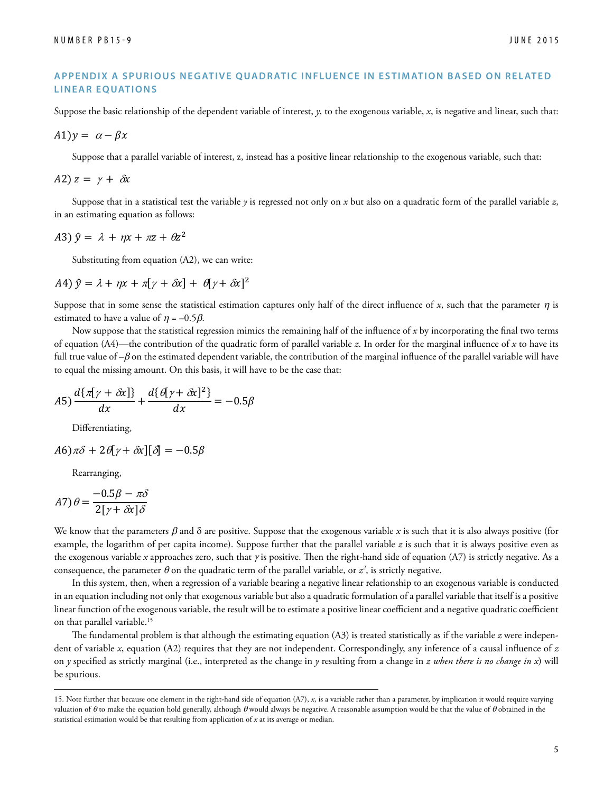#### **APPENDIX A SPURIOUS NEGATIVE QUADRATIC INFLUENCE IN ESTIMATION BASED ON RELATED SUPPOSE THE BASIC RELATIONS** variable, "*x*", is negative and linear, such that: Suppose that in a statistical test the variable *y* is regressed not only on *x* but also on a quadratic form of

Suppose the basic relationship of the dependent variable of interest, *y*, to the exogenous variable, *x*, is negative and linear, such that: ܣͳሻݕ ൌ െ ݔߚ variable, "*x*", is negative and linear, such that: Suppose the basic relationship of the dependent variable of interest, y, to the exogeno exogenous variable, such that:

$$
A1)y = \alpha - \beta x
$$

Suppose that a parallel variable of interest, "z", instead has a positive linear relationship to the Suppose that a parallel variable of interest, z, instead has a positive linear relationship to the exogenous variable, such that:<br> Maria manazarta<br>Wanazarta bose that a parallel variable of inter

$$
A2\, = \gamma + \delta x
$$

the parallel variable *z*, in an estimating equation as follows:

ܣʹሻݖ ൌ ݔ Suppose that in a statistical test the variable *y* is regressed not only on *x* but also on a quadratic form of in an estimating equation as follows: ܣ͵ሻݕොൌ ݔ ݖ ݖ<sup>ଶ</sup> Suppose that in a statistical test the variable *y* is regressed not only on *x* but also on a quadratic form of the parallel variable *z*,  $\mathbf{r}$  is the commonly  $\mathbf{r}$  -planet in the set of  $\mathbf{r}$ .

$$
(A3)\,\hat{y} = \lambda + \eta x + \pi z + \theta z^2
$$

Substituting from equation (A2), we can write:  $\mathcal{S}$  $\frac{1}{\sqrt{2}}$ 

$$
A4) \hat{y} = \lambda + \eta x + \pi[\gamma + \delta x] + \theta[\gamma + \delta x]^2
$$

estimated to have a value of  $\eta = -0.5\beta$ . Suppose that in some sense the statistical estimation captures only half of the direct influence of x, such that the parameter  $\eta$  is

 $\frac{d}{dt}$  or equation  $\frac{d}{dt}$  on the estimate of equation  $(A4)$ —the contribution of the quadratic form of parallel variable z. In order for the marginal influence of x to have its that the value of  $\beta$  on Now suppose that the statistical regression mimics the remaining half of the influence of  $x$  by incorporating the final two terms to equal the missing amount. On this basis, it will have to be the case that: full true value of  $-\beta$  on the estimated dependent variable, the contribution of the marginal influence of the parallel variable will have

$$
A5\frac{d\{\pi[\gamma+\delta x]\}}{dx} + \frac{d\{\theta[\gamma+\delta x]^2\}}{dx} = -0.5\beta
$$

Differentiating,  $\text{Differentiating},$  $\Gamma$ the missing amount. On this basis, it will have to be the case that:

Suppose that in some sense the statistical estimation captures only half of the direct influence of *x*, such

$$
A6)\pi\delta + 2\theta[\gamma + \delta x][\delta] = -0.5\beta
$$
  
Rearranging,

dependent variable, the contribution of the material influence of the parallel variable will have to equal to equal the parallel variable with  $\alpha$ **Rearran**  $\mathbf{e}^{\mathbf{u}}$  $\mathbf{g}$ Rearranging,

$$
A7)\theta = \frac{-0.5\beta - \pi\delta}{2[\gamma + \delta x]\delta}
$$

 $\overline{X}$  $\mathbf{n}$  $\ddot{x}$ We know that the parameters  $\beta$  and  $\delta$  are positive. Suppose that the exogenous variable *x* is such that it is also always positive (for example, the logarithm of per capita income). Suppose further that the parallel variable z is such that it is always positive even as consequence, the parameter  $\theta$  on the quadratic term of the parallel variable, or  $z^2$ , is strictly negative. the exogenous variable x approaches zero, such that  $\gamma$  is positive. Then the right-hand side of equation (A7) is strictly negative. As a

in an equation including not only that exogenous variable but also a quadratic formulation of a parallel variable that itself is a positive In this system, then, when a regression of a variable bearing a negative linear relationship to an exogenous variable is conducted linear function of the exogenous variable, the result will be to estimate a positive linear coefficient and a negative quadratic coefficient on that parallel variable.<sup>15</sup>

The fundamental problem is that although the estimating equation  $(A3)$  is treated statistically as if the variable  $z$  were independent of variable  $x$ , equation (A2) requires that they are not independent. Correspondingly, any inference of a causal influence of  $z$ on y specified as strictly marginal (i.e., interpreted as the change in y resulting from a change in *z when there is no change in x*) will  $\sigma$  result will be the result will be to estimate and a negative quadratic coefficient and a negative  $\sigma$ be spurious.

 $\frac{1}{2}$  is the estimating equation  $\frac{1}{2}$  is that although the estimating as treated statistically as the estimating as treated statistically as the estimating as the estimating as the estimating  $\frac{1}{2}$ 15. Note further that because one element in the right-hand side of equation (A7), *x*, is a variable rather than a parameter, by implication it would require varying valuation of  $\theta$  to make the equation hold generally, although  $\theta$  would always be negative. A reasonable assumption would be that the value of  $\theta$  obtained in the statistical estimation would be that resulting from application of *x* at its average or median.